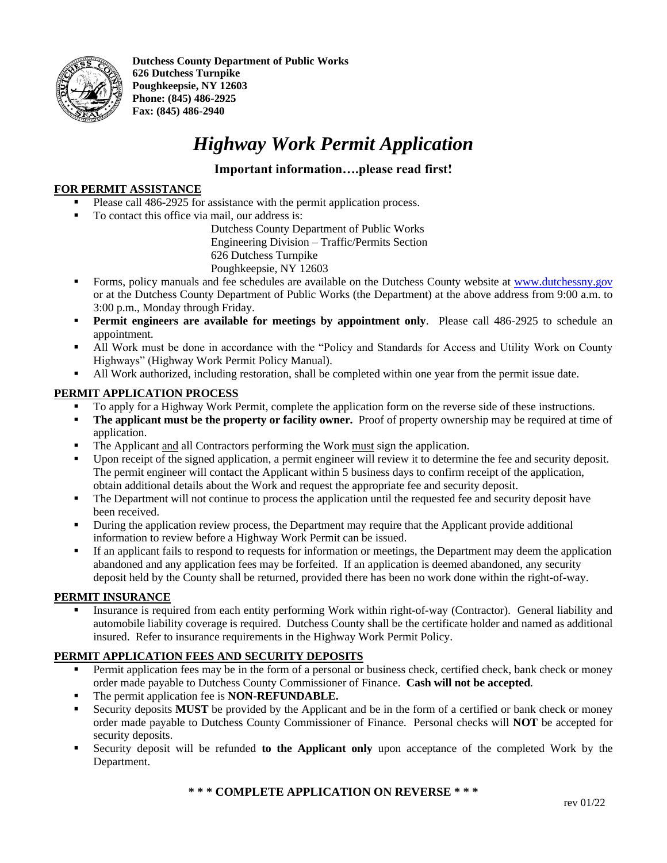

**Dutchess County Department of Public Works 626 Dutchess Turnpike Poughkeepsie, NY 12603 Phone: (845) 486-2925 Fax: (845) 486-2940**

## *Highway Work Permit Application*

## **Important information….please read first!**

## **FOR PERMIT ASSISTANCE**

- Please call 486-2925 for assistance with the permit application process.
- To contact this office via mail, our address is:

Dutchess County Department of Public Works Engineering Division – Traffic/Permits Section 626 Dutchess Turnpike Poughkeepsie, NY 12603

- **•** Forms, policy manuals and fee schedules are available on the Dutchess County website at [www.dutchessny.gov](http://www.dutchessny.gov/) or at the Dutchess County Department of Public Works (the Department) at the above address from 9:00 a.m. to 3:00 p.m., Monday through Friday.
- **Permit engineers are available for meetings by appointment only.** Please call 486-2925 to schedule an appointment.
- All Work must be done in accordance with the "Policy and Standards for Access and Utility Work on County Highways" (Highway Work Permit Policy Manual).
- All Work authorized, including restoration, shall be completed within one year from the permit issue date.

## **PERMIT APPLICATION PROCESS**

- To apply for a Highway Work Permit, complete the application form on the reverse side of these instructions.
- **The applicant must be the property or facility owner.** Proof of property ownership may be required at time of application.
- The Applicant and all Contractors performing the Work must sign the application.
- Upon receipt of the signed application, a permit engineer will review it to determine the fee and security deposit. The permit engineer will contact the Applicant within 5 business days to confirm receipt of the application, obtain additional details about the Work and request the appropriate fee and security deposit.
- The Department will not continue to process the application until the requested fee and security deposit have been received.
- **•** During the application review process, the Department may require that the Applicant provide additional information to review before a Highway Work Permit can be issued.
- If an applicant fails to respond to requests for information or meetings, the Department may deem the application abandoned and any application fees may be forfeited. If an application is deemed abandoned, any security deposit held by the County shall be returned, provided there has been no work done within the right-of-way.

### **PERMIT INSURANCE**

Insurance is required from each entity performing Work within right-of-way (Contractor). General liability and automobile liability coverage is required. Dutchess County shall be the certificate holder and named as additional insured. Refer to insurance requirements in the Highway Work Permit Policy.

## **PERMIT APPLICATION FEES AND SECURITY DEPOSITS**

- Permit application fees may be in the form of a personal or business check, certified check, bank check or money order made payable to Dutchess County Commissioner of Finance. **Cash will not be accepted**.
- The permit application fee is **NON-REFUNDABLE.**
- Security deposits **MUST** be provided by the Applicant and be in the form of a certified or bank check or money order made payable to Dutchess County Commissioner of Finance. Personal checks will **NOT** be accepted for security deposits.
- Security deposit will be refunded **to the Applicant only** upon acceptance of the completed Work by the Department.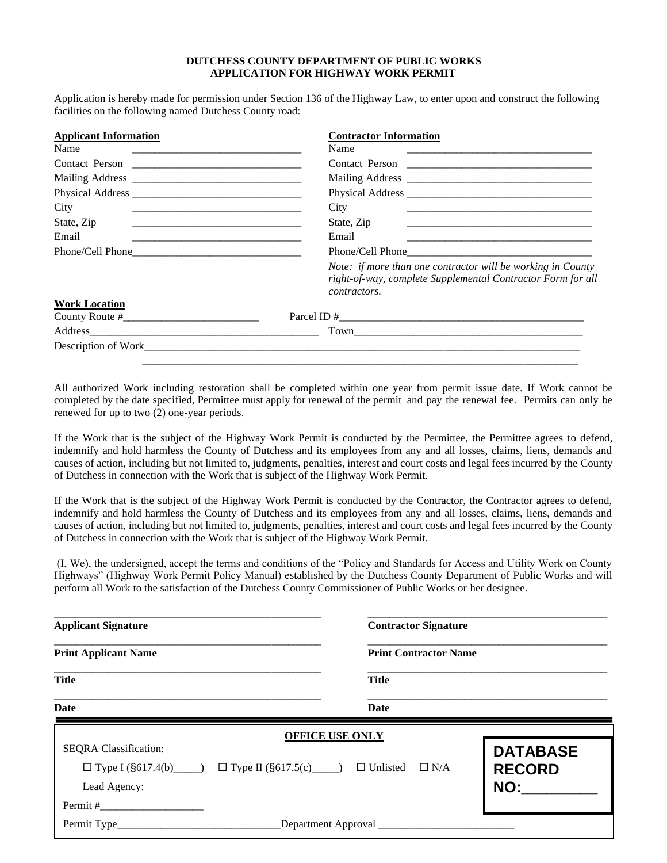#### **DUTCHESS COUNTY DEPARTMENT OF PUBLIC WORKS APPLICATION FOR HIGHWAY WORK PERMIT**

Application is hereby made for permission under Section 136 of the Highway Law, to enter upon and construct the following facilities on the following named Dutchess County road:

| <b>Applicant Information</b> | <b>Contractor Information</b>                                                                                                              |
|------------------------------|--------------------------------------------------------------------------------------------------------------------------------------------|
| Name<br><b>CONTRACTOR</b>    | Name                                                                                                                                       |
|                              | Contact Person                                                                                                                             |
|                              |                                                                                                                                            |
|                              |                                                                                                                                            |
| City                         | City<br><u> 1989 - Johann Barn, amerikansk politiker (d. 1989)</u>                                                                         |
| State, Zip                   | State, Zip                                                                                                                                 |
| Email                        | Email                                                                                                                                      |
|                              |                                                                                                                                            |
|                              | Note: if more than one contractor will be working in County<br>right-of-way, complete Supplemental Contractor Form for all<br>contractors. |
| <b>Work Location</b>         |                                                                                                                                            |
|                              |                                                                                                                                            |
|                              |                                                                                                                                            |
|                              |                                                                                                                                            |
|                              |                                                                                                                                            |

All authorized Work including restoration shall be completed within one year from permit issue date. If Work cannot be completed by the date specified, Permittee must apply for renewal of the permit and pay the renewal fee. Permits can only be renewed for up to two (2) one-year periods.

If the Work that is the subject of the Highway Work Permit is conducted by the Permittee, the Permittee agrees to defend, indemnify and hold harmless the County of Dutchess and its employees from any and all losses, claims, liens, demands and causes of action, including but not limited to, judgments, penalties, interest and court costs and legal fees incurred by the County of Dutchess in connection with the Work that is subject of the Highway Work Permit.

If the Work that is the subject of the Highway Work Permit is conducted by the Contractor, the Contractor agrees to defend, indemnify and hold harmless the County of Dutchess and its employees from any and all losses, claims, liens, demands and causes of action, including but not limited to, judgments, penalties, interest and court costs and legal fees incurred by the County of Dutchess in connection with the Work that is subject of the Highway Work Permit.

(I, We), the undersigned, accept the terms and conditions of the "Policy and Standards for Access and Utility Work on County Highways" (Highway Work Permit Policy Manual) established by the Dutchess County Department of Public Works and will perform all Work to the satisfaction of the Dutchess County Commissioner of Public Works or her designee.

| <b>Applicant Signature</b>                                                        | <b>Contractor Signature</b>  |
|-----------------------------------------------------------------------------------|------------------------------|
| <b>Print Applicant Name</b>                                                       | <b>Print Contractor Name</b> |
| <b>Title</b>                                                                      | <b>Title</b>                 |
| Date                                                                              | Date                         |
|                                                                                   | <b>OFFICE USE ONLY</b>       |
| <b>SEQRA</b> Classification:                                                      | <b>DATABASE</b>              |
| $\Box$ Type I (§617.4(b) $\Box$ Type II (§617.5(c) $\Box$ D Unlisted $\Box$ N/A   | <b>RECORD</b>                |
|                                                                                   | NO:                          |
|                                                                                   |                              |
| Permit Type_____________________________Department Approval _____________________ |                              |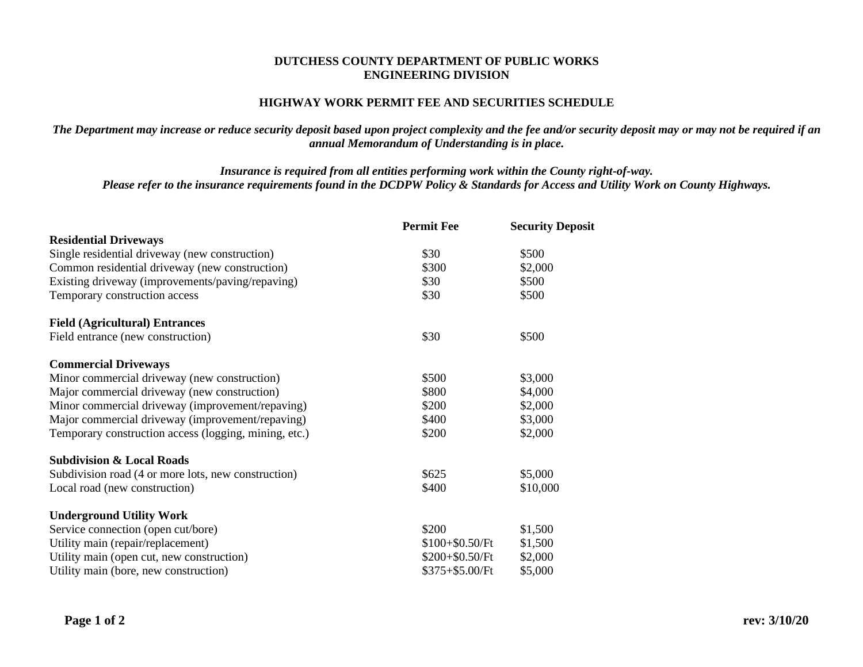### **DUTCHESS COUNTY DEPARTMENT OF PUBLIC WORKS ENGINEERING DIVISION**

## **HIGHWAY WORK PERMIT FEE AND SECURITIES SCHEDULE**

*The Department may increase or reduce security deposit based upon project complexity and the fee and/or security deposit may or may not be required if an annual Memorandum of Understanding is in place.*

*Insurance is required from all entities performing work within the County right-of-way. Please refer to the insurance requirements found in the DCDPW Policy & Standards for Access and Utility Work on County Highways.*

|                                                       | <b>Permit Fee</b> | <b>Security Deposit</b> |
|-------------------------------------------------------|-------------------|-------------------------|
| <b>Residential Driveways</b>                          |                   |                         |
| Single residential driveway (new construction)        | \$30              | \$500                   |
| Common residential driveway (new construction)        | \$300             | \$2,000                 |
| Existing driveway (improvements/paving/repaving)      | \$30              | \$500                   |
| Temporary construction access                         | \$30              | \$500                   |
| <b>Field (Agricultural) Entrances</b>                 |                   |                         |
| Field entrance (new construction)                     | \$30              | \$500                   |
| <b>Commercial Driveways</b>                           |                   |                         |
| Minor commercial driveway (new construction)          | \$500             | \$3,000                 |
| Major commercial driveway (new construction)          | \$800             | \$4,000                 |
| Minor commercial driveway (improvement/repaving)      | \$200             | \$2,000                 |
| Major commercial driveway (improvement/repaving)      | \$400             | \$3,000                 |
| Temporary construction access (logging, mining, etc.) | \$200             | \$2,000                 |
| <b>Subdivision &amp; Local Roads</b>                  |                   |                         |
| Subdivision road (4 or more lots, new construction)   | \$625             | \$5,000                 |
| Local road (new construction)                         | \$400             | \$10,000                |
| <b>Underground Utility Work</b>                       |                   |                         |
| Service connection (open cut/bore)                    | \$200             | \$1,500                 |
| Utility main (repair/replacement)                     | $$100 + $0.50/Ft$ | \$1,500                 |
| Utility main (open cut, new construction)             | $$200 + $0.50/Ft$ | \$2,000                 |
| Utility main (bore, new construction)                 | $$375 + $5.00/Ft$ | \$5,000                 |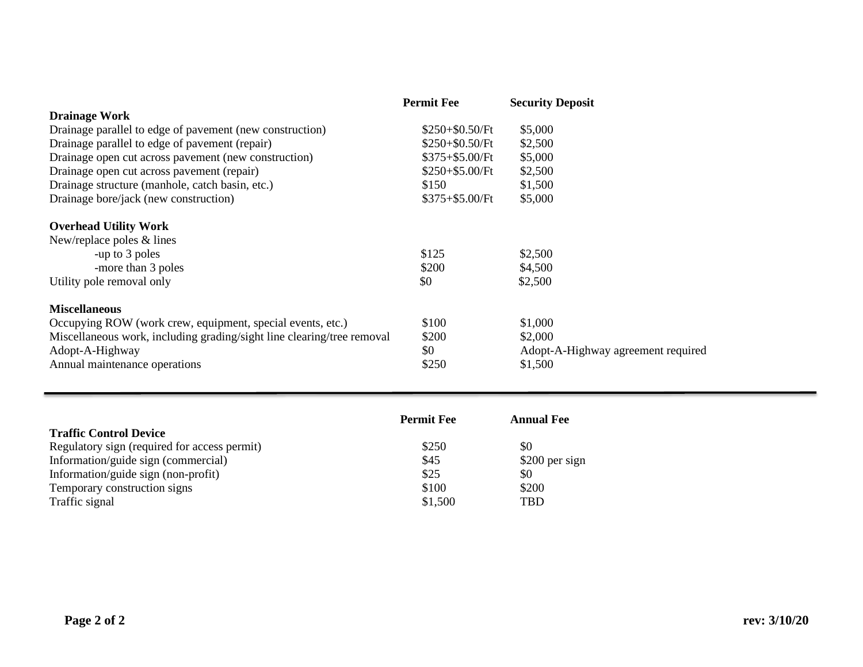|                                                                        | <b>Permit Fee</b> | <b>Security Deposit</b>            |
|------------------------------------------------------------------------|-------------------|------------------------------------|
| <b>Drainage Work</b>                                                   |                   |                                    |
| Drainage parallel to edge of pavement (new construction)               | $$250 + $0.50/Ft$ | \$5,000                            |
| Drainage parallel to edge of pavement (repair)                         | $$250 + $0.50/Ft$ | \$2,500                            |
| Drainage open cut across pavement (new construction)                   | $$375 + $5.00/Ft$ | \$5,000                            |
| Drainage open cut across pavement (repair)                             | $$250 + $5.00/Ft$ | \$2,500                            |
| Drainage structure (manhole, catch basin, etc.)                        | \$150             | \$1,500                            |
| Drainage bore/jack (new construction)                                  | $$375 + $5.00/Ft$ | \$5,000                            |
| <b>Overhead Utility Work</b>                                           |                   |                                    |
| New/replace poles & lines                                              |                   |                                    |
| -up to 3 poles                                                         | \$125             | \$2,500                            |
| -more than 3 poles                                                     | \$200             | \$4,500                            |
| Utility pole removal only                                              | \$0               | \$2,500                            |
| <b>Miscellaneous</b>                                                   |                   |                                    |
| Occupying ROW (work crew, equipment, special events, etc.)             | \$100             | \$1,000                            |
| Miscellaneous work, including grading/sight line clearing/tree removal | \$200             | \$2,000                            |
| Adopt-A-Highway                                                        | \$0               | Adopt-A-Highway agreement required |
| Annual maintenance operations                                          | \$250             | \$1,500                            |

|                                              | <b>Permit Fee</b> | <b>Annual Fee</b> |
|----------------------------------------------|-------------------|-------------------|
| <b>Traffic Control Device</b>                |                   |                   |
| Regulatory sign (required for access permit) | \$250             | \$0               |
| Information/guide sign (commercial)          | \$45              | \$200 per sign    |
| Information/guide sign (non-profit)          | \$25              | \$0               |
| Temporary construction signs                 | \$100             | \$200             |
| Traffic signal                               | \$1,500           | <b>TBD</b>        |

í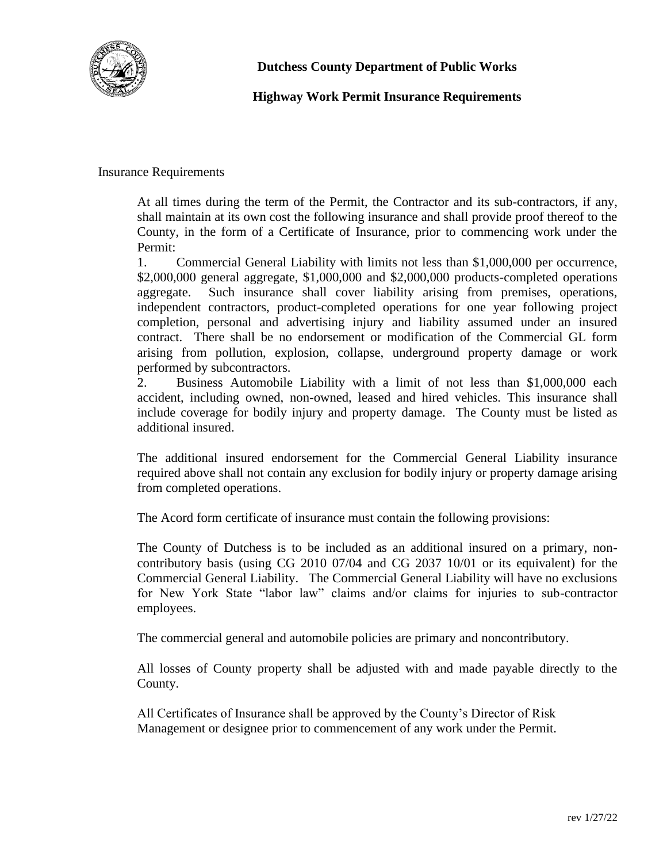

**Dutchess County Department of Public Works**

## **Highway Work Permit Insurance Requirements**

Insurance Requirements

At all times during the term of the Permit, the Contractor and its sub-contractors, if any, shall maintain at its own cost the following insurance and shall provide proof thereof to the County, in the form of a Certificate of Insurance, prior to commencing work under the Permit:

1. Commercial General Liability with limits not less than \$1,000,000 per occurrence, \$2,000,000 general aggregate, \$1,000,000 and \$2,000,000 products-completed operations aggregate. Such insurance shall cover liability arising from premises, operations, independent contractors, product-completed operations for one year following project completion, personal and advertising injury and liability assumed under an insured contract. There shall be no endorsement or modification of the Commercial GL form arising from pollution, explosion, collapse, underground property damage or work performed by subcontractors.

2. Business Automobile Liability with a limit of not less than \$1,000,000 each accident, including owned, non-owned, leased and hired vehicles. This insurance shall include coverage for bodily injury and property damage. The County must be listed as additional insured.

The additional insured endorsement for the Commercial General Liability insurance required above shall not contain any exclusion for bodily injury or property damage arising from completed operations.

The Acord form certificate of insurance must contain the following provisions:

The County of Dutchess is to be included as an additional insured on a primary, noncontributory basis (using CG 2010 07/04 and CG 2037 10/01 or its equivalent) for the Commercial General Liability. The Commercial General Liability will have no exclusions for New York State "labor law" claims and/or claims for injuries to sub-contractor employees.

The commercial general and automobile policies are primary and noncontributory.

All losses of County property shall be adjusted with and made payable directly to the County.

All Certificates of Insurance shall be approved by the County's Director of Risk Management or designee prior to commencement of any work under the Permit.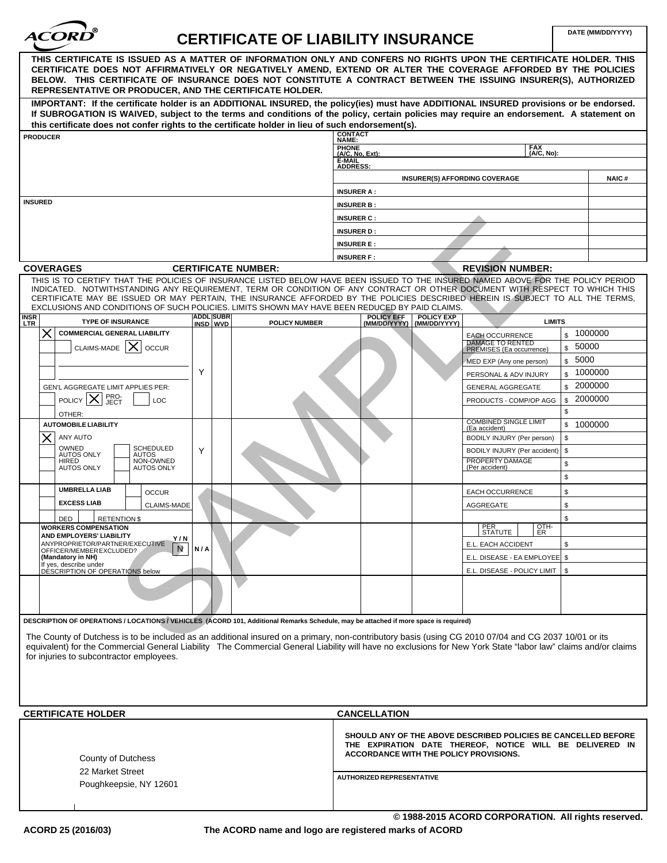

# CERTIFICATE OF LIABILITY INSURANCE **DATE (MM/DD/YYYY)**

| THIS CERTIFICATE IS ISSUED AS A MATTER OF INFORMATION ONLY AND CONFERS NO RIGHTS UPON THE CERTIFICATE HOLDER. THIS<br>CERTIFICATE DOES NOT AFFIRMATIVELY OR NEGATIVELY AMEND, EXTEND OR ALTER THE COVERAGE AFFORDED BY THE POLICIES<br>BELOW. THIS CERTIFICATE OF INSURANCE DOES NOT CONSTITUTE A CONTRACT BETWEEN THE ISSUING INSURER(S), AUTHORIZED |                              |                            |                                                                                                                                                                      |                                   |                                                     |           |              |
|-------------------------------------------------------------------------------------------------------------------------------------------------------------------------------------------------------------------------------------------------------------------------------------------------------------------------------------------------------|------------------------------|----------------------------|----------------------------------------------------------------------------------------------------------------------------------------------------------------------|-----------------------------------|-----------------------------------------------------|-----------|--------------|
| REPRESENTATIVE OR PRODUCER, AND THE CERTIFICATE HOLDER.                                                                                                                                                                                                                                                                                               |                              |                            |                                                                                                                                                                      |                                   |                                                     |           |              |
| IMPORTANT: If the certificate holder is an ADDITIONAL INSURED, the policy(ies) must have ADDITIONAL INSURED provisions or be endorsed.<br>If SUBROGATION IS WAIVED, subject to the terms and conditions of the policy, certain policies may require an endorsement. A statement on                                                                    |                              |                            |                                                                                                                                                                      |                                   |                                                     |           |              |
| this certificate does not confer rights to the certificate holder in lieu of such endorsement(s).<br><b>PRODUCER</b>                                                                                                                                                                                                                                  |                              |                            | <b>CONTACT</b>                                                                                                                                                       |                                   |                                                     |           |              |
|                                                                                                                                                                                                                                                                                                                                                       |                              |                            | NAME:                                                                                                                                                                |                                   | <b>FAX</b>                                          |           |              |
|                                                                                                                                                                                                                                                                                                                                                       |                              |                            | PHONE<br>(A/C, No, Ext):<br>E-MAIL                                                                                                                                   |                                   | (A/C, No):                                          |           |              |
|                                                                                                                                                                                                                                                                                                                                                       |                              |                            | <b>ADDRESS:</b>                                                                                                                                                      |                                   |                                                     |           |              |
|                                                                                                                                                                                                                                                                                                                                                       |                              |                            |                                                                                                                                                                      |                                   | <b>INSURER(S) AFFORDING COVERAGE</b>                |           | <b>NAIC#</b> |
| <b>INSURED</b>                                                                                                                                                                                                                                                                                                                                        |                              |                            | <b>INSURER A:</b>                                                                                                                                                    |                                   |                                                     |           |              |
|                                                                                                                                                                                                                                                                                                                                                       |                              |                            | <b>INSURER B:</b>                                                                                                                                                    |                                   |                                                     |           |              |
|                                                                                                                                                                                                                                                                                                                                                       |                              |                            | <b>INSURER C:</b>                                                                                                                                                    |                                   |                                                     |           |              |
|                                                                                                                                                                                                                                                                                                                                                       |                              |                            | <b>INSURER D:</b>                                                                                                                                                    |                                   |                                                     |           |              |
|                                                                                                                                                                                                                                                                                                                                                       |                              |                            | <b>INSURER E:</b>                                                                                                                                                    |                                   |                                                     |           |              |
| <b>COVERAGES</b>                                                                                                                                                                                                                                                                                                                                      |                              | <b>CERTIFICATE NUMBER:</b> | <b>INSURER F:</b>                                                                                                                                                    |                                   | <b>REVISION NUMBER:</b>                             |           |              |
| THIS IS TO CERTIFY THAT THE POLICIES OF INSURANCE LISTED BELOW HAVE BEEN ISSUED TO THE INSURED NAMED ABOVE FOR THE POLICY PERIOD                                                                                                                                                                                                                      |                              |                            |                                                                                                                                                                      |                                   |                                                     |           |              |
| INDICATED. NOTWITHSTANDING ANY REQUIREMENT, TERM OR CONDITION OF ANY CONTRACT OR OTHER DOCUMENT WITH RESPECT TO WHICH THIS                                                                                                                                                                                                                            |                              |                            |                                                                                                                                                                      |                                   |                                                     |           |              |
| CERTIFICATE MAY BE ISSUED OR MAY PERTAIN, THE INSURANCE AFFORDED BY THE POLICIES DESCRIBED HEREIN IS SUBJECT TO ALL THE TERMS,<br>EXCLUSIONS AND CONDITIONS OF SUCH POLICIES. LIMITS SHOWN MAY HAVE BEEN REDUCED BY PAID CLAIMS.                                                                                                                      |                              |                            |                                                                                                                                                                      |                                   |                                                     |           |              |
| <b>INSR</b><br>LTR<br><b>TYPE OF INSURANCE</b>                                                                                                                                                                                                                                                                                                        | <b>ADDL SUBR</b><br>INSD WVD | <b>POLICY NUMBER</b>       | <b>POLICY EFF</b><br>(MM/DD/YYYY)                                                                                                                                    | <b>POLICY EXP</b><br>(MM/DD/YYYY) | <b>LIMITS</b>                                       |           |              |
| <b>COMMERCIAL GENERAL LIABILITY</b><br>X                                                                                                                                                                                                                                                                                                              |                              |                            |                                                                                                                                                                      |                                   | <b>EACH OCCURRENCE</b>                              | \$1000000 |              |
| CLAIMS-MADE $ X $ occur                                                                                                                                                                                                                                                                                                                               |                              |                            |                                                                                                                                                                      |                                   | <b>DAMAGE TO RENTED</b><br>PREMISES (Ea occurrence) | \$50000   |              |
|                                                                                                                                                                                                                                                                                                                                                       |                              |                            |                                                                                                                                                                      |                                   | MED EXP (Any one person)                            | \$5000    |              |
|                                                                                                                                                                                                                                                                                                                                                       | Υ                            |                            |                                                                                                                                                                      |                                   | PERSONAL & ADV INJURY                               | \$1000000 |              |
| GEN'L AGGREGATE LIMIT APPLIES PER:                                                                                                                                                                                                                                                                                                                    |                              |                            |                                                                                                                                                                      |                                   | <b>GENERAL AGGREGATE</b>                            | \$2000000 |              |
| PRO-<br>JECT<br>POLICY $ X $<br>LOC                                                                                                                                                                                                                                                                                                                   |                              |                            |                                                                                                                                                                      |                                   | PRODUCTS - COMP/OP AGG                              | \$        | 2000000      |
| OTHER:                                                                                                                                                                                                                                                                                                                                                |                              |                            |                                                                                                                                                                      |                                   |                                                     | \$        |              |
| <b>AUTOMOBILE LIABILITY</b>                                                                                                                                                                                                                                                                                                                           |                              |                            |                                                                                                                                                                      |                                   | <b>COMBINED SINGLE LIMIT</b><br>(Ea accident)       | \$1000000 |              |
| ANY AUTO                                                                                                                                                                                                                                                                                                                                              |                              |                            |                                                                                                                                                                      |                                   | BODILY INJURY (Per person)                          | \$        |              |
| OWNED<br><b>SCHEDULED</b><br><b>AUTOS ONLY</b><br>AUTOS                                                                                                                                                                                                                                                                                               | Υ                            |                            |                                                                                                                                                                      |                                   | BODILY INJURY (Per accident)                        | \$        |              |
| NON-OWNED<br>HIRED<br><b>AUTOS ONLY</b><br><b>AUTOS ONLY</b>                                                                                                                                                                                                                                                                                          |                              |                            |                                                                                                                                                                      |                                   | PROPERTY DAMAGE<br>(Per accident)                   | \$        |              |
|                                                                                                                                                                                                                                                                                                                                                       |                              |                            |                                                                                                                                                                      |                                   |                                                     | \$        |              |
| <b>UMBRELLA LIAB</b><br><b>OCCUR</b>                                                                                                                                                                                                                                                                                                                  |                              |                            |                                                                                                                                                                      |                                   | EACH OCCURRENCE                                     | \$        |              |
| <b>EXCESS LIAB</b><br>CLAIMS-MADE                                                                                                                                                                                                                                                                                                                     |                              |                            |                                                                                                                                                                      |                                   | <b>AGGREGATE</b>                                    | \$        |              |
| <b>RETENTION \$</b><br>DED                                                                                                                                                                                                                                                                                                                            |                              |                            |                                                                                                                                                                      |                                   |                                                     | \$        |              |
| <b>WORKERS COMPENSATION</b><br>AND EMPLOYERS' LIABILITY                                                                                                                                                                                                                                                                                               |                              |                            |                                                                                                                                                                      |                                   | $\frac{QTH}{ER}$<br>PER<br>STATUTE                  |           |              |
| Y/N<br>ANYPROPRIETOR/PARTNER/EXECUTIVE<br>N<br>OFFICER/MEMBER EXCLUDED?                                                                                                                                                                                                                                                                               | N/A                          |                            |                                                                                                                                                                      |                                   | E.L. EACH ACCIDENT                                  | \$        |              |
| (Mandatory in NH)                                                                                                                                                                                                                                                                                                                                     |                              |                            |                                                                                                                                                                      |                                   | E.L. DISEASE - EA EMPLOYEE   \$                     |           |              |
| If yes, describe under<br>DESCRIPTION OF OPERATIONS below                                                                                                                                                                                                                                                                                             |                              |                            |                                                                                                                                                                      |                                   | E.L. DISEASE - POLICY LIMIT   \$                    |           |              |
|                                                                                                                                                                                                                                                                                                                                                       |                              |                            |                                                                                                                                                                      |                                   |                                                     |           |              |
|                                                                                                                                                                                                                                                                                                                                                       |                              |                            |                                                                                                                                                                      |                                   |                                                     |           |              |
|                                                                                                                                                                                                                                                                                                                                                       |                              |                            |                                                                                                                                                                      |                                   |                                                     |           |              |
| DESCRIPTION OF OPERATIONS / LOCATIONS / VEHICLES (ACORD 101, Additional Remarks Schedule, may be attached if more space is required)                                                                                                                                                                                                                  |                              |                            |                                                                                                                                                                      |                                   |                                                     |           |              |
| The County of Dutchess is to be included as an additional insured on a primary, non-contributory basis (using CG 2010 07/04 and CG 2037 10/01 or its                                                                                                                                                                                                  |                              |                            |                                                                                                                                                                      |                                   |                                                     |           |              |
| equivalent) for the Commercial General Liability The Commercial General Liability will have no exclusions for New York State "labor law" claims and/or claims<br>for injuries to subcontractor employees.                                                                                                                                             |                              |                            |                                                                                                                                                                      |                                   |                                                     |           |              |
|                                                                                                                                                                                                                                                                                                                                                       |                              |                            |                                                                                                                                                                      |                                   |                                                     |           |              |
|                                                                                                                                                                                                                                                                                                                                                       |                              |                            |                                                                                                                                                                      |                                   |                                                     |           |              |
|                                                                                                                                                                                                                                                                                                                                                       |                              |                            |                                                                                                                                                                      |                                   |                                                     |           |              |
|                                                                                                                                                                                                                                                                                                                                                       |                              |                            |                                                                                                                                                                      |                                   |                                                     |           |              |
| <b>CERTIFICATE HOLDER</b>                                                                                                                                                                                                                                                                                                                             |                              |                            | <b>CANCELLATION</b>                                                                                                                                                  |                                   |                                                     |           |              |
| County of Dutchess<br>22 Market Street<br>Poughkeepsie, NY 12601                                                                                                                                                                                                                                                                                      |                              |                            | SHOULD ANY OF THE ABOVE DESCRIBED POLICIES BE CANCELLED BEFORE<br>THE EXPIRATION DATE THEREOF, NOTICE WILL BE DELIVERED IN<br>ACCORDANCE WITH THE POLICY PROVISIONS. |                                   |                                                     |           |              |
|                                                                                                                                                                                                                                                                                                                                                       |                              |                            | <b>AUTHORIZED REPRESENTATIVE</b>                                                                                                                                     |                                   |                                                     |           |              |
|                                                                                                                                                                                                                                                                                                                                                       |                              |                            |                                                                                                                                                                      |                                   |                                                     |           |              |
|                                                                                                                                                                                                                                                                                                                                                       |                              |                            |                                                                                                                                                                      |                                   | © 1988-2015 ACORD CORPORATION. All rights reserved. |           |              |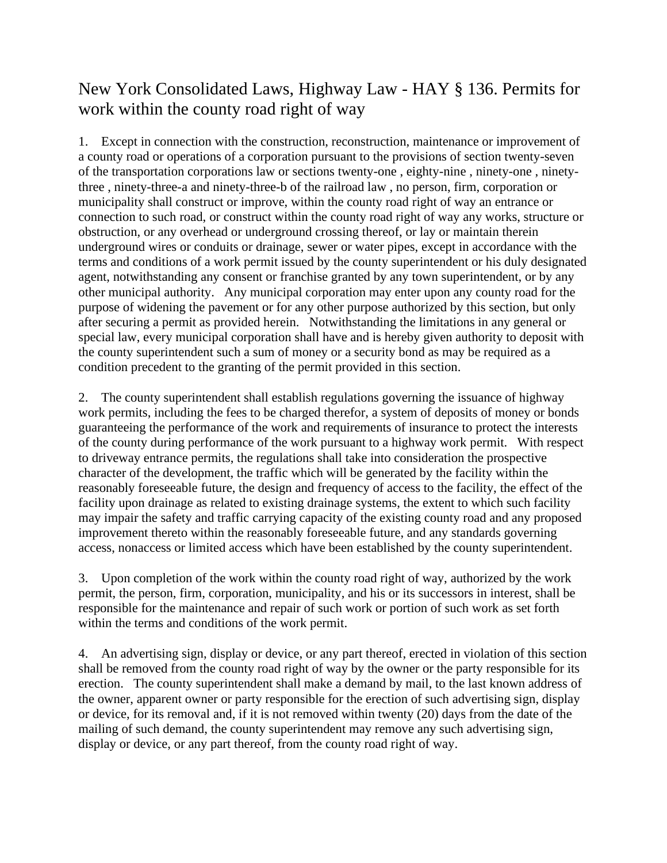## New York Consolidated Laws, Highway Law - HAY § 136. Permits for work within the county road right of way

1. Except in connection with the construction, reconstruction, maintenance or improvement of a county road or operations of a corporation pursuant to the provisions of [section twenty-seven](https://1.next.westlaw.com/Link/Document/FullText?findType=L&originatingContext=document&transitionType=DocumentItem&pubNum=1000289&refType=LQ&originatingDoc=I3d220430ccb011e8b26285e92e3dce21&cite=NYTRCORPS27)  [of the transportation corporations law](https://1.next.westlaw.com/Link/Document/FullText?findType=L&originatingContext=document&transitionType=DocumentItem&pubNum=1000289&refType=LQ&originatingDoc=I3d220430ccb011e8b26285e92e3dce21&cite=NYTRCORPS27) or [sections twenty-one](https://1.next.westlaw.com/Link/Document/FullText?findType=L&originatingContext=document&transitionType=DocumentItem&pubNum=1000127&refType=LQ&originatingDoc=I3d220436ccb011e8b26285e92e3dce21&cite=NYRRS21) , [eighty-nine](https://1.next.westlaw.com/Link/Document/FullText?findType=L&originatingContext=document&transitionType=DocumentItem&pubNum=1000127&refType=LQ&originatingDoc=I3d220437ccb011e8b26285e92e3dce21&cite=NYRRS89) , [ninety-one](https://1.next.westlaw.com/Link/Document/FullText?findType=L&originatingContext=document&transitionType=DocumentItem&pubNum=1000127&refType=LQ&originatingDoc=I3d220438ccb011e8b26285e92e3dce21&cite=NYRRS91) , [ninety](https://1.next.westlaw.com/Link/Document/FullText?findType=L&originatingContext=document&transitionType=DocumentItem&pubNum=1000127&refType=LQ&originatingDoc=I3d220439ccb011e8b26285e92e3dce21&cite=NYRRS93)[three](https://1.next.westlaw.com/Link/Document/FullText?findType=L&originatingContext=document&transitionType=DocumentItem&pubNum=1000127&refType=LQ&originatingDoc=I3d220439ccb011e8b26285e92e3dce21&cite=NYRRS93) , [ninety-three-a](https://1.next.westlaw.com/Link/Document/FullText?findType=L&originatingContext=document&transitionType=DocumentItem&pubNum=1000127&refType=LQ&originatingDoc=I3d22043accb011e8b26285e92e3dce21&cite=NYRRS93-A) and [ninety-three-b of the railroad law](https://1.next.westlaw.com/Link/Document/FullText?findType=L&originatingContext=document&transitionType=DocumentItem&pubNum=1000127&refType=LQ&originatingDoc=I3d22043bccb011e8b26285e92e3dce21&cite=NYRRS93-B) , no person, firm, corporation or municipality shall construct or improve, within the county road right of way an entrance or connection to such road, or construct within the county road right of way any works, structure or obstruction, or any overhead or underground crossing thereof, or lay or maintain therein underground wires or conduits or drainage, sewer or water pipes, except in accordance with the terms and conditions of a work permit issued by the county superintendent or his duly designated agent, notwithstanding any consent or franchise granted by any town superintendent, or by any other municipal authority. Any municipal corporation may enter upon any county road for the purpose of widening the pavement or for any other purpose authorized by this section, but only after securing a permit as provided herein. Notwithstanding the limitations in any general or special law, every municipal corporation shall have and is hereby given authority to deposit with the county superintendent such a sum of money or a security bond as may be required as a condition precedent to the granting of the permit provided in this section.

2. The county superintendent shall establish regulations governing the issuance of highway work permits, including the fees to be charged therefor, a system of deposits of money or bonds guaranteeing the performance of the work and requirements of insurance to protect the interests of the county during performance of the work pursuant to a highway work permit. With respect to driveway entrance permits, the regulations shall take into consideration the prospective character of the development, the traffic which will be generated by the facility within the reasonably foreseeable future, the design and frequency of access to the facility, the effect of the facility upon drainage as related to existing drainage systems, the extent to which such facility may impair the safety and traffic carrying capacity of the existing county road and any proposed improvement thereto within the reasonably foreseeable future, and any standards governing access, nonaccess or limited access which have been established by the county superintendent.

3. Upon completion of the work within the county road right of way, authorized by the work permit, the person, firm, corporation, municipality, and his or its successors in interest, shall be responsible for the maintenance and repair of such work or portion of such work as set forth within the terms and conditions of the work permit.

4. An advertising sign, display or device, or any part thereof, erected in violation of this section shall be removed from the county road right of way by the owner or the party responsible for its erection. The county superintendent shall make a demand by mail, to the last known address of the owner, apparent owner or party responsible for the erection of such advertising sign, display or device, for its removal and, if it is not removed within twenty (20) days from the date of the mailing of such demand, the county superintendent may remove any such advertising sign, display or device, or any part thereof, from the county road right of way.